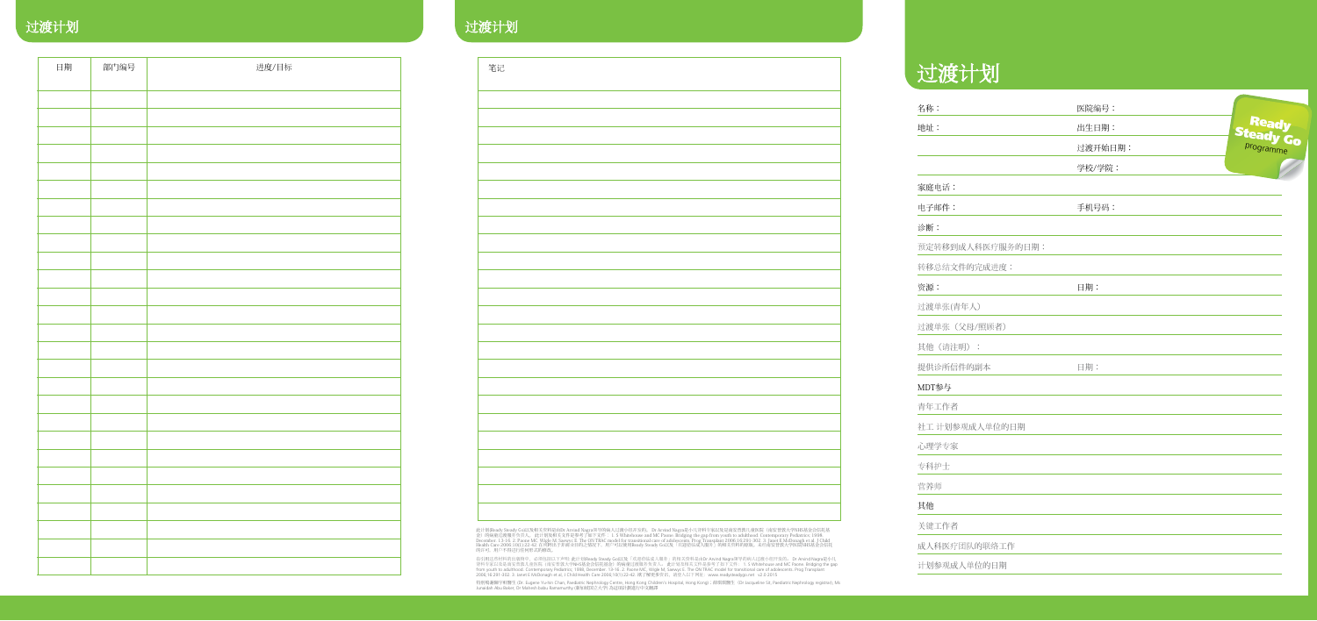# 过渡计划

| 名称:              | 医院编号:   |                    |
|------------------|---------|--------------------|
| 地址:              | 出生日期:   | Ready<br>Steady Go |
|                  | 过渡开始日期: |                    |
|                  | 学校/学院:  |                    |
| 家庭电话:            |         |                    |
| 电子邮件:            | 手机号码:   |                    |
| 诊断:              |         |                    |
| 预定转移到成人科医疗服务的日期: |         |                    |
| 转移总结文件的完成进度:     |         |                    |
| 资源:              | 日期:     |                    |
| 过渡单张(青年人)        |         |                    |
| 过渡单张(父母/照顾者)     |         |                    |
| 其他(请注明):         |         |                    |
| 提供诊所信件的副本        | 日期:     |                    |
| MDT参与            |         |                    |
| 青年工作者            |         |                    |
| 社工 计划参观成人单位的日期   |         |                    |
| 心理学专家            |         |                    |
| 专科护士             |         |                    |
| 营养师              |         |                    |
| 其他               |         |                    |
| 关键工作者            |         |                    |
| 成人科医疗团队的联络工作     |         |                    |
| 计划参观成人单位的日期      |         |                    |

## 过渡计划 过渡计划

| 日期 | 部门编号 | 进度/目标 |                                                                   | 笔记 |
|----|------|-------|-------------------------------------------------------------------|----|
|    |      |       |                                                                   |    |
|    |      |       |                                                                   |    |
|    |      |       |                                                                   |    |
|    |      |       |                                                                   |    |
|    |      |       |                                                                   |    |
|    |      |       |                                                                   |    |
|    |      |       |                                                                   |    |
|    |      |       |                                                                   |    |
|    |      |       |                                                                   |    |
|    |      |       |                                                                   |    |
|    |      |       |                                                                   |    |
|    |      |       |                                                                   |    |
|    |      |       |                                                                   |    |
|    |      |       |                                                                   |    |
|    |      |       |                                                                   |    |
|    |      |       |                                                                   |    |
|    |      |       |                                                                   |    |
|    |      |       |                                                                   |    |
|    |      |       |                                                                   |    |
|    |      |       |                                                                   |    |
|    |      |       |                                                                   |    |
|    |      |       |                                                                   |    |
|    |      |       |                                                                   |    |
|    |      |       | 此计划(Ready<br>金) 的病童过<br>December. 13<br>Health Care 20<br>的许可, 用户 |    |
|    |      |       | 在引用这些材料<br>肾科专家以及;<br>from youth to<br>2006:16:291-3              |    |
|    |      |       |                                                                   |    |

| 笔记 |  |  |
|----|--|--|
|    |  |  |
|    |  |  |
|    |  |  |
|    |  |  |
|    |  |  |
|    |  |  |
|    |  |  |
|    |  |  |
|    |  |  |
|    |  |  |
|    |  |  |
|    |  |  |
|    |  |  |
|    |  |  |
|    |  |  |
|    |  |  |
|    |  |  |
|    |  |  |
|    |  |  |
|    |  |  |
|    |  |  |
|    |  |  |
|    |  |  |
|    |  |  |
|    |  |  |
|    |  |  |
|    |  |  |
|    |  |  |
|    |  |  |
|    |  |  |
|    |  |  |
|    |  |  |
|    |  |  |
|    |  |  |
|    |  |  |
|    |  |  |
|    |  |  |
|    |  |  |
|    |  |  |
|    |  |  |
|    |  |  |
|    |  |  |
|    |  |  |
|    |  |  |
|    |  |  |
|    |  |  |
|    |  |  |
|    |  |  |
|    |  |  |
|    |  |  |
|    |  |  |
|    |  |  |
|    |  |  |
|    |  |  |
|    |  |  |
|    |  |  |
|    |  |  |
|    |  |  |
|    |  |  |
|    |  |  |
|    |  |  |
|    |  |  |
|    |  |  |
|    |  |  |
|    |  |  |
|    |  |  |
|    |  |  |
|    |  |  |
|    |  |  |
|    |  |  |

此计划(Ready Steady Go)以及相关资料是由Dr Arvind Nagra领导的病人过渡小组开发的。 Dr Arvind Nagra是小儿肾科专家以及是南安普敦儿童医院(南安普敦大学NHS基金会信托基<br>金)的病童过渡服务负责人。 此计划及相关文件是参考了如下文件: 1. S Whitehouse and MC Paone. Bridging the gap from youth to adulthood. Contempora

在引用这些材料的出版物中,必须包括以下声明: 此计划(Ready Steady Go)以及「欢迎莅临成人服务」的相关资料是由Dr Arvind Nagra领导的病人过渡小组开发的。 Dr Arvind Nagra是小儿<br>肾科专家以及是南安普敦儿童医院(南安普敦大学NHS基金会信托基金)的病童过渡服务负责人。 此计划及相关文件是参考了如下文件: 1. S Whitehouse and MC Paone. Bridging the gap<br>f

特別鳴謝陳宇軒醫生 (Dr. Eugene Yu-hin Chan, Paediatric Nephrology Centre, Hong Kong Children's Hospital, Hong Kong);薛琪琪醫生(Dr Jacqueline Sit, Paediatric Nephrology registrar), Ms<br>Junaidah Abu Baker, Dr Mahesh babu Ramamurthy (新加坡国立